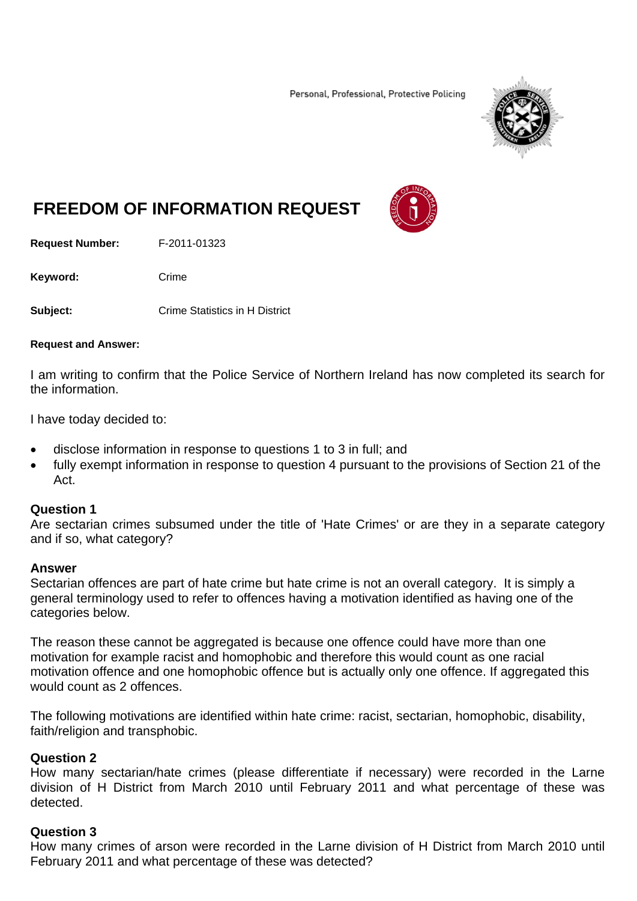Personal, Professional, Protective Policing



# **FREEDOM OF INFORMATION REQUEST**

**Request Number:** F-2011-01323

Keyword: Crime

**Subject: Crime Statistics in H District** 

#### **Request and Answer:**

I am writing to confirm that the Police Service of Northern Ireland has now completed its search for the information.

I have today decided to:

- disclose information in response to questions 1 to 3 in full; and
- fully exempt information in response to question 4 pursuant to the provisions of Section 21 of the Act.

#### **Question 1**

Are sectarian crimes subsumed under the title of 'Hate Crimes' or are they in a separate category and if so, what category?

#### **Answer**

Sectarian offences are part of hate crime but hate crime is not an overall category. It is simply a general terminology used to refer to offences having a motivation identified as having one of the categories below.

The reason these cannot be aggregated is because one offence could have more than one motivation for example racist and homophobic and therefore this would count as one racial motivation offence and one homophobic offence but is actually only one offence. If aggregated this would count as 2 offences.

The following motivations are identified within hate crime: racist, sectarian, homophobic, disability, faith/religion and transphobic.

### **Question 2**

How many sectarian/hate crimes (please differentiate if necessary) were recorded in the Larne division of H District from March 2010 until February 2011 and what percentage of these was detected.

### **Question 3**

How many crimes of arson were recorded in the Larne division of H District from March 2010 until February 2011 and what percentage of these was detected?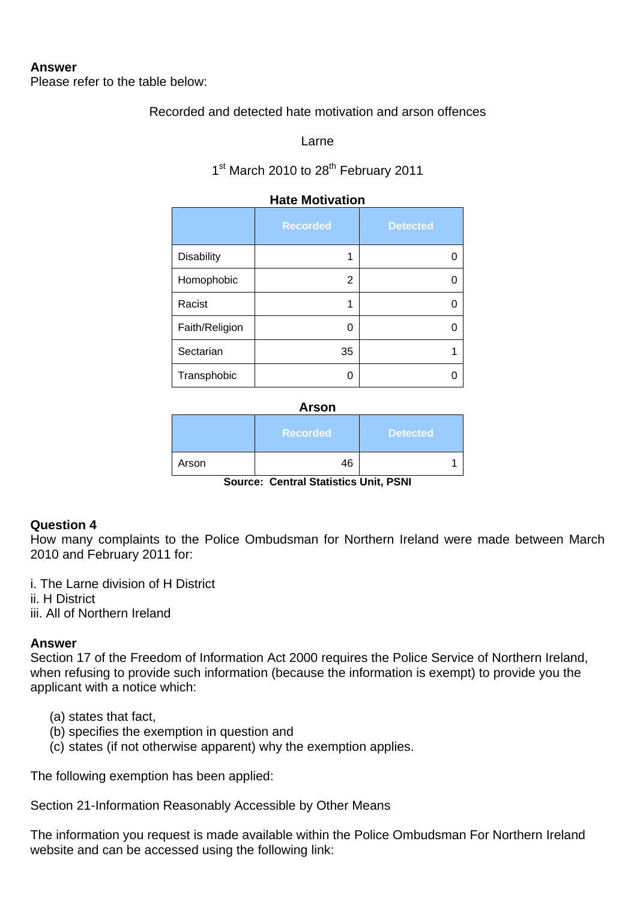### **Answer**

Please refer to the table below:

## Recorded and detected hate motivation and arson offences

Larne

1<sup>st</sup> March 2010 to 28<sup>th</sup> February 2011

| . .uww.now.com    |                 |                 |
|-------------------|-----------------|-----------------|
|                   | <b>Recorded</b> | <b>Detected</b> |
| <b>Disability</b> | 1               |                 |
| Homophobic        | 2               |                 |
| Racist            | 1               |                 |
| Faith/Religion    | O               |                 |
| Sectarian         | 35              |                 |
| Transphobic       | ი               |                 |

## **Hate Motivation**

**Arson** 

|       | <b>Recorded</b> | Detected |
|-------|-----------------|----------|
| Arson | 46              |          |

**Source: Central Statistics Unit, PSNI** 

### **Question 4**

How many complaints to the Police Ombudsman for Northern Ireland were made between March 2010 and February 2011 for:

i. The Larne division of H District ii. H District iii. All of Northern Ireland

### **Answer**

Section 17 of the Freedom of Information Act 2000 requires the Police Service of Northern Ireland, when refusing to provide such information (because the information is exempt) to provide you the applicant with a notice which:

- (a) states that fact,
- (b) specifies the exemption in question and
- (c) states (if not otherwise apparent) why the exemption applies.

The following exemption has been applied:

Section 21-Information Reasonably Accessible by Other Means

The information you request is made available within the Police Ombudsman For Northern Ireland website and can be accessed using the following link: